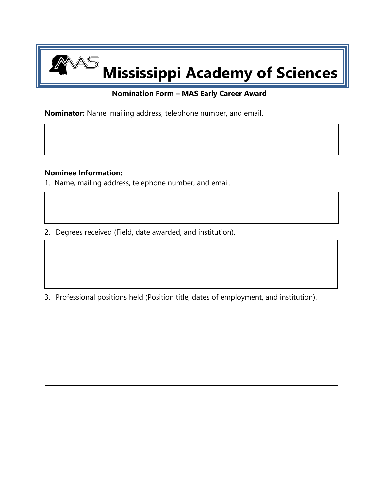## **Mississippi Academy of Sciences**

## **Nomination Form – MAS Early Career Award**

**Nominator:** Name, mailing address, telephone number, and email.

## **Nominee Information:**

AS

1.Name, mailing address, telephone number, and email.

2. Degrees received (Field, date awarded, and institution).

3. Professional positions held (Position title, dates of employment, and institution).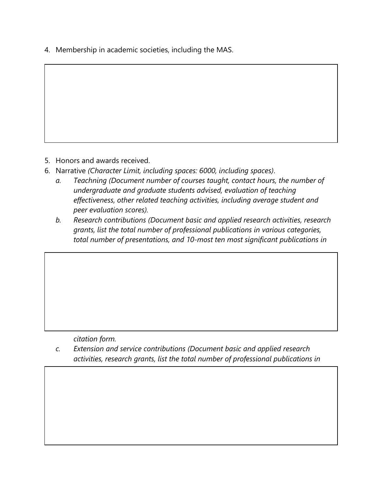4. Membership in academic societies, including the MAS.

- 5. Honors and awards received.
- 6. Narrative *(Character Limit, including spaces: 6000, including spaces)*.
	- *a. Teachning (Document number of courses taught, contact hours, the number of undergraduate and graduate students advised, evaluation of teaching effectiveness, other related teaching activities, including average student and peer evaluation scores).*
	- *b. Research contributions (Document basic and applied research activities, research grants, list the total number of professional publications in various categories, total number of presentations, and 10-most ten most significant publications in*

*citation form.*

*c. Extension and service contributions (Document basic and applied research activities, research grants, list the total number of professional publications in*